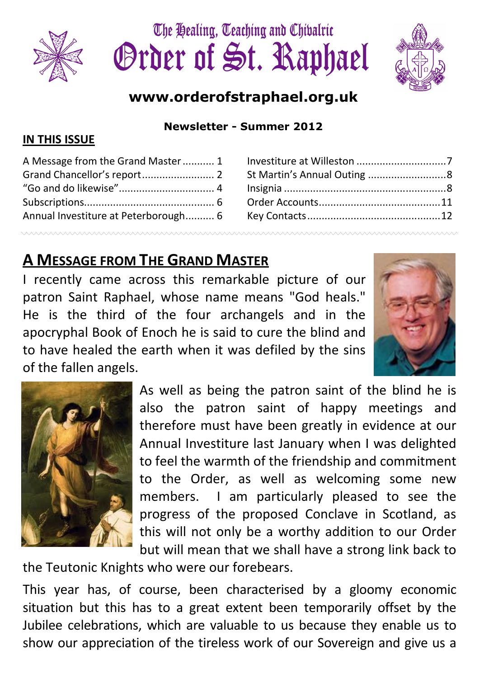





# www.orderofstraphael.org.uk

Newsletter - Summer 2012

#### IN THIS ISSUE

| A Message from the Grand Master 1    |  |
|--------------------------------------|--|
|                                      |  |
|                                      |  |
|                                      |  |
| Annual Investiture at Peterborough 6 |  |
|                                      |  |

| St Martin's Annual Outing 8 |  |
|-----------------------------|--|
|                             |  |
|                             |  |
|                             |  |
|                             |  |

# A MESSAGE FROM THE GRAND MASTER

I recently came across this remarkable picture of our patron Saint Raphael, whose name means "God heals." He is the third of the four archangels and in the apocryphal Book of Enoch he is said to cure the blind and to have healed the earth when it was defiled by the sins of the fallen angels.





As well as being the patron saint of the blind he is also the patron saint of happy meetings and therefore must have been greatly in evidence at our Annual Investiture last January when I was delighted to feel the warmth of the friendship and commitment to the Order, as well as welcoming some new members. I am particularly pleased to see the progress of the proposed Conclave in Scotland, as this will not only be a worthy addition to our Order but will mean that we shall have a strong link back to

the Teutonic Knights who were our forebears.

This year has, of course, been characterised by a gloomy economic situation but this has to a great extent been temporarily offset by the Jubilee celebrations, which are valuable to us because they enable us to show our appreciation of the tireless work of our Sovereign and give us a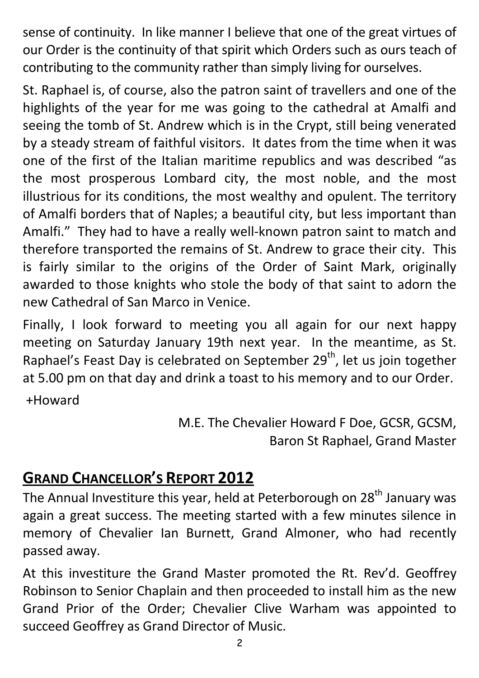sense of continuity. In like manner I believe that one of the great virtues of our Order is the continuity of that spirit which Orders such as ours teach of contributing to the community rather than simply living for ourselves.

St. Raphael is, of course, also the patron saint of travellers and one of the highlights of the year for me was going to the cathedral at Amalfi and seeing the tomb of St. Andrew which is in the Crypt, still being venerated by a steady stream of faithful visitors. It dates from the time when it was one of the first of the Italian maritime republics and was described "as the most prosperous Lombard city, the most noble, and the most illustrious for its conditions, the most wealthy and opulent. The territory of Amalfi borders that of Naples; a beautiful city, but less important than Amalfi." They had to have a really well-known patron saint to match and therefore transported the remains of St. Andrew to grace their city. This is fairly similar to the origins of the Order of Saint Mark, originally awarded to those knights who stole the body of that saint to adorn the new Cathedral of San Marco in Venice.

Finally, I look forward to meeting you all again for our next happy meeting on Saturday January 19th next year. In the meantime, as St. Raphael's Feast Day is celebrated on September 29<sup>th</sup>, let us join together at 5.00 pm on that day and drink a toast to his memory and to our Order.

+Howard

M.E. The Chevalier Howard F Doe, GCSR, GCSM, Baron St Raphael, Grand Master

# GRAND CHANCELLOR'S REPORT 2012

The Annual Investiture this year, held at Peterborough on 28<sup>th</sup> January was again a great success. The meeting started with a few minutes silence in memory of Chevalier Ian Burnett, Grand Almoner, who had recently passed away.

At this investiture the Grand Master promoted the Rt. Rev'd. Geoffrey Robinson to Senior Chaplain and then proceeded to install him as the new Grand Prior of the Order; Chevalier Clive Warham was appointed to succeed Geoffrey as Grand Director of Music.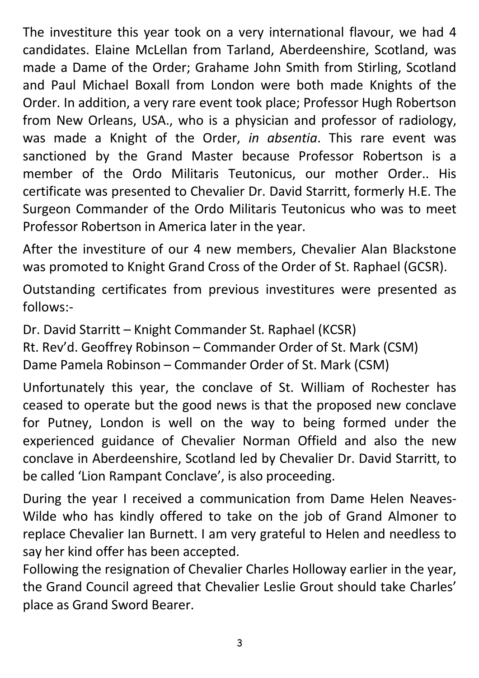The investiture this year took on a very international flavour, we had 4 candidates. Elaine McLellan from Tarland, Aberdeenshire, Scotland, was made a Dame of the Order; Grahame John Smith from Stirling, Scotland and Paul Michael Boxall from London were both made Knights of the Order. In addition, a very rare event took place; Professor Hugh Robertson from New Orleans, USA., who is a physician and professor of radiology, was made a Knight of the Order, in absentia. This rare event was sanctioned by the Grand Master because Professor Robertson is a member of the Ordo Militaris Teutonicus, our mother Order.. His certificate was presented to Chevalier Dr. David Starritt, formerly H.E. The Surgeon Commander of the Ordo Militaris Teutonicus who was to meet Professor Robertson in America later in the year.

After the investiture of our 4 new members, Chevalier Alan Blackstone was promoted to Knight Grand Cross of the Order of St. Raphael (GCSR).

Outstanding certificates from previous investitures were presented as follows:-

Dr. David Starritt – Knight Commander St. Raphael (KCSR)

Rt. Rev'd. Geoffrey Robinson – Commander Order of St. Mark (CSM)

Dame Pamela Robinson – Commander Order of St. Mark (CSM)

Unfortunately this year, the conclave of St. William of Rochester has ceased to operate but the good news is that the proposed new conclave for Putney, London is well on the way to being formed under the experienced guidance of Chevalier Norman Offield and also the new conclave in Aberdeenshire, Scotland led by Chevalier Dr. David Starritt, to be called 'Lion Rampant Conclave', is also proceeding.

During the year I received a communication from Dame Helen Neaves-Wilde who has kindly offered to take on the job of Grand Almoner to replace Chevalier Ian Burnett. I am very grateful to Helen and needless to say her kind offer has been accepted.

Following the resignation of Chevalier Charles Holloway earlier in the year, the Grand Council agreed that Chevalier Leslie Grout should take Charles' place as Grand Sword Bearer.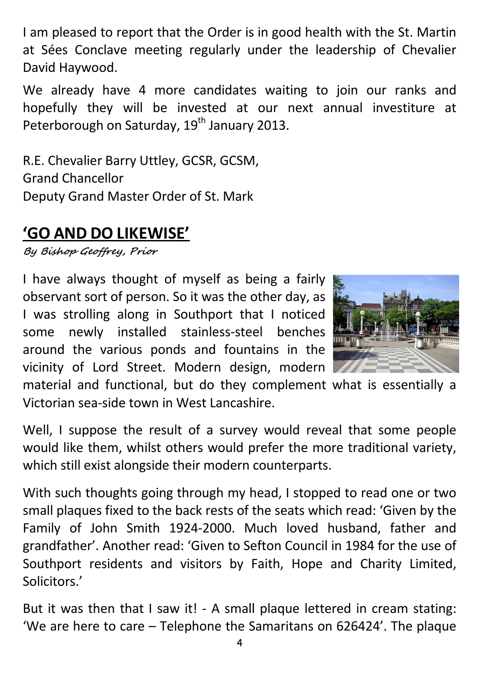I am pleased to report that the Order is in good health with the St. Martin at Sées Conclave meeting regularly under the leadership of Chevalier David Haywood.

We already have 4 more candidates waiting to join our ranks and hopefully they will be invested at our next annual investiture at Peterborough on Saturday, 19<sup>th</sup> January 2013.

R.E. Chevalier Barry Uttley, GCSR, GCSM, Grand Chancellor Deputy Grand Master Order of St. Mark

# 'GO AND DO LIKEWISE'

By Bishop Geoffrey, Prior

I have always thought of myself as being a fairly observant sort of person. So it was the other day, as I was strolling along in Southport that I noticed some newly installed stainless-steel benches around the various ponds and fountains in the vicinity of Lord Street. Modern design, modern



material and functional, but do they complement what is essentially a Victorian sea-side town in West Lancashire.

Well, I suppose the result of a survey would reveal that some people would like them, whilst others would prefer the more traditional variety, which still exist alongside their modern counterparts.

With such thoughts going through my head, I stopped to read one or two small plaques fixed to the back rests of the seats which read: 'Given by the Family of John Smith 1924-2000. Much loved husband, father and grandfather'. Another read: 'Given to Sefton Council in 1984 for the use of Southport residents and visitors by Faith, Hope and Charity Limited, Solicitors.'

But it was then that I saw it! - A small plaque lettered in cream stating: 'We are here to care – Telephone the Samaritans on 626424'. The plaque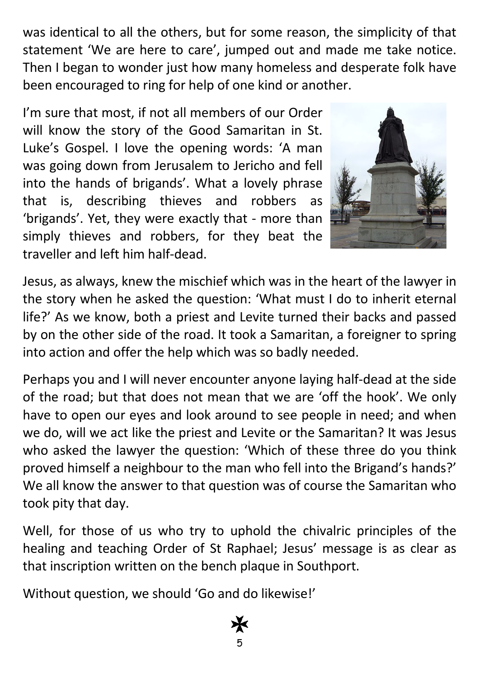was identical to all the others, but for some reason, the simplicity of that statement 'We are here to care', jumped out and made me take notice. Then I began to wonder just how many homeless and desperate folk have been encouraged to ring for help of one kind or another.

I'm sure that most, if not all members of our Order will know the story of the Good Samaritan in St. Luke's Gospel. I love the opening words: 'A man was going down from Jerusalem to Jericho and fell into the hands of brigands'. What a lovely phrase that is, describing thieves and robbers as 'brigands'. Yet, they were exactly that - more than simply thieves and robbers, for they beat the traveller and left him half-dead.



Jesus, as always, knew the mischief which was in the heart of the lawyer in the story when he asked the question: 'What must I do to inherit eternal life?' As we know, both a priest and Levite turned their backs and passed by on the other side of the road. It took a Samaritan, a foreigner to spring into action and offer the help which was so badly needed.

Perhaps you and I will never encounter anyone laying half-dead at the side of the road; but that does not mean that we are 'off the hook'. We only have to open our eyes and look around to see people in need; and when we do, will we act like the priest and Levite or the Samaritan? It was Jesus who asked the lawyer the question: 'Which of these three do you think proved himself a neighbour to the man who fell into the Brigand's hands?' We all know the answer to that question was of course the Samaritan who took pity that day.

Well, for those of us who try to uphold the chivalric principles of the healing and teaching Order of St Raphael; Jesus' message is as clear as that inscription written on the bench plaque in Southport.

Without question, we should 'Go and do likewise!'

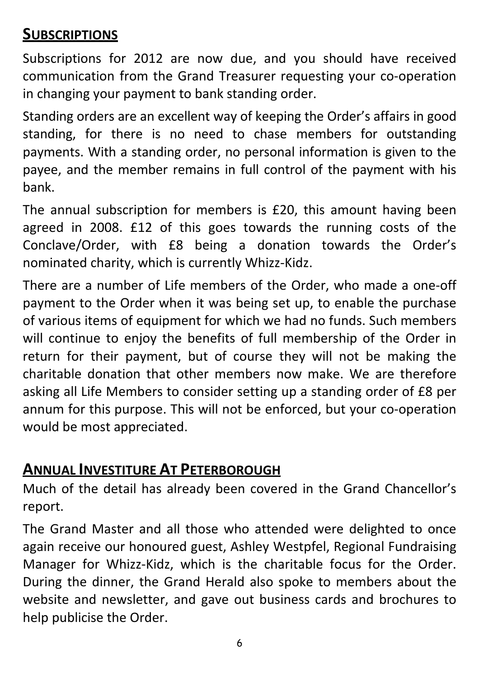# **SUBSCRIPTIONS**

Subscriptions for 2012 are now due, and you should have received communication from the Grand Treasurer requesting your co-operation in changing your payment to bank standing order.

Standing orders are an excellent way of keeping the Order's affairs in good standing, for there is no need to chase members for outstanding payments. With a standing order, no personal information is given to the payee, and the member remains in full control of the payment with his bank.

The annual subscription for members is £20, this amount having been agreed in 2008. £12 of this goes towards the running costs of the Conclave/Order, with £8 being a donation towards the Order's nominated charity, which is currently Whizz-Kidz.

There are a number of Life members of the Order, who made a one-off payment to the Order when it was being set up, to enable the purchase of various items of equipment for which we had no funds. Such members will continue to enjoy the benefits of full membership of the Order in return for their payment, but of course they will not be making the charitable donation that other members now make. We are therefore asking all Life Members to consider setting up a standing order of £8 per annum for this purpose. This will not be enforced, but your co-operation would be most appreciated.

### ANNUAL INVESTITURE AT PETERBOROUGH

Much of the detail has already been covered in the Grand Chancellor's report.

The Grand Master and all those who attended were delighted to once again receive our honoured guest, Ashley Westpfel, Regional Fundraising Manager for Whizz-Kidz, which is the charitable focus for the Order. During the dinner, the Grand Herald also spoke to members about the website and newsletter, and gave out business cards and brochures to help publicise the Order.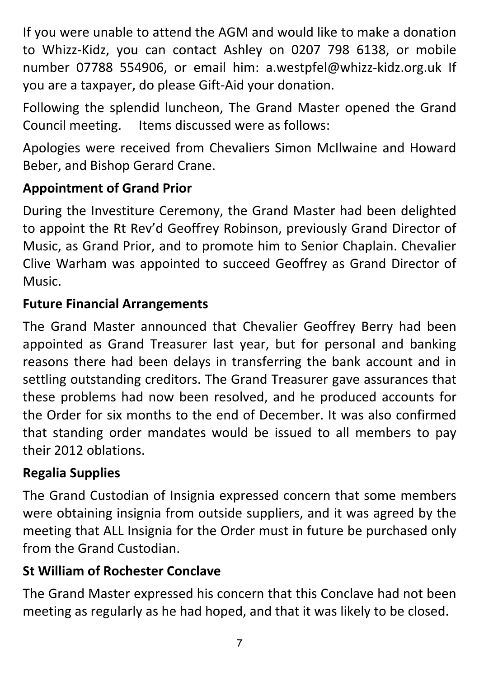If you were unable to attend the AGM and would like to make a donation to Whizz-Kidz, you can contact Ashley on 0207 798 6138, or mobile number 07788 554906, or email him: a.westpfel@whizz-kidz.org.uk If you are a taxpayer, do please Gift-Aid your donation.

Following the splendid luncheon, The Grand Master opened the Grand Council meeting. Items discussed were as follows:

Apologies were received from Chevaliers Simon McIlwaine and Howard Beber, and Bishop Gerard Crane.

### Appointment of Grand Prior

During the Investiture Ceremony, the Grand Master had been delighted to appoint the Rt Rev'd Geoffrey Robinson, previously Grand Director of Music, as Grand Prior, and to promote him to Senior Chaplain. Chevalier Clive Warham was appointed to succeed Geoffrey as Grand Director of Music.

#### Future Financial Arrangements

The Grand Master announced that Chevalier Geoffrey Berry had been appointed as Grand Treasurer last year, but for personal and banking reasons there had been delays in transferring the bank account and in settling outstanding creditors. The Grand Treasurer gave assurances that these problems had now been resolved, and he produced accounts for the Order for six months to the end of December. It was also confirmed that standing order mandates would be issued to all members to pay their 2012 oblations.

#### Regalia Supplies

The Grand Custodian of Insignia expressed concern that some members were obtaining insignia from outside suppliers, and it was agreed by the meeting that ALL Insignia for the Order must in future be purchased only from the Grand Custodian.

### St William of Rochester Conclave

The Grand Master expressed his concern that this Conclave had not been meeting as regularly as he had hoped, and that it was likely to be closed.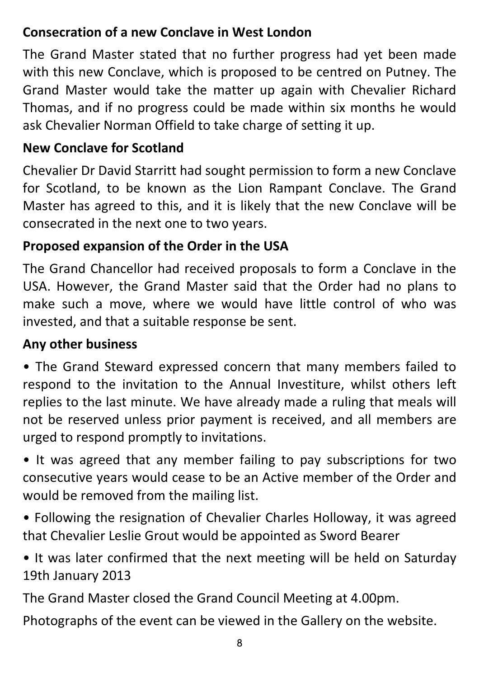# Consecration of a new Conclave in West London

The Grand Master stated that no further progress had yet been made with this new Conclave, which is proposed to be centred on Putney. The Grand Master would take the matter up again with Chevalier Richard Thomas, and if no progress could be made within six months he would ask Chevalier Norman Offield to take charge of setting it up.

# New Conclave for Scotland

Chevalier Dr David Starritt had sought permission to form a new Conclave for Scotland, to be known as the Lion Rampant Conclave. The Grand Master has agreed to this, and it is likely that the new Conclave will be consecrated in the next one to two years.

## Proposed expansion of the Order in the USA

The Grand Chancellor had received proposals to form a Conclave in the USA. However, the Grand Master said that the Order had no plans to make such a move, where we would have little control of who was invested, and that a suitable response be sent.

### Any other business

• The Grand Steward expressed concern that many members failed to respond to the invitation to the Annual Investiture, whilst others left replies to the last minute. We have already made a ruling that meals will not be reserved unless prior payment is received, and all members are urged to respond promptly to invitations.

• It was agreed that any member failing to pay subscriptions for two consecutive years would cease to be an Active member of the Order and would be removed from the mailing list.

• Following the resignation of Chevalier Charles Holloway, it was agreed that Chevalier Leslie Grout would be appointed as Sword Bearer

• It was later confirmed that the next meeting will be held on Saturday 19th January 2013

The Grand Master closed the Grand Council Meeting at 4.00pm.

Photographs of the event can be viewed in the Gallery on the website.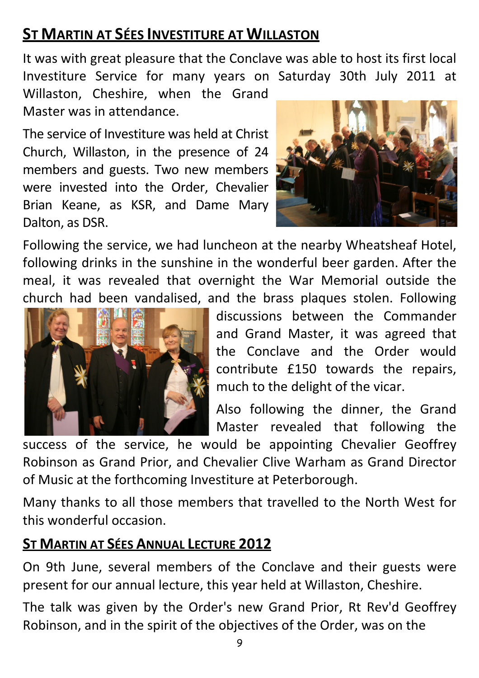# **ST MARTIN AT SÉES INVESTITURE AT WILLASTON**

It was with great pleasure that the Conclave was able to host its first local Investiture Service for many years on Saturday 30th July 2011 at Willaston, Cheshire, when the Grand

Master was in attendance.

The service of Investiture was held at Christ Church, Willaston, in the presence of 24 members and guests. Two new members were invested into the Order, Chevalier Brian Keane, as KSR, and Dame Mary Dalton, as DSR.



Following the service, we had luncheon at the nearby Wheatsheaf Hotel, following drinks in the sunshine in the wonderful beer garden. After the meal, it was revealed that overnight the War Memorial outside the church had been vandalised, and the brass plaques stolen. Following



discussions between the Commander and Grand Master, it was agreed that the Conclave and the Order would contribute £150 towards the repairs, much to the delight of the vicar.

Also following the dinner, the Grand Master revealed that following the

success of the service, he would be appointing Chevalier Geoffrey Robinson as Grand Prior, and Chevalier Clive Warham as Grand Director of Music at the forthcoming Investiture at Peterborough.

Many thanks to all those members that travelled to the North West for this wonderful occasion.

#### ST MARTIN AT SÉES ANNUAL LECTURE 2012

On 9th June, several members of the Conclave and their guests were present for our annual lecture, this year held at Willaston, Cheshire.

The talk was given by the Order's new Grand Prior, Rt Rev'd Geoffrey Robinson, and in the spirit of the objectives of the Order, was on the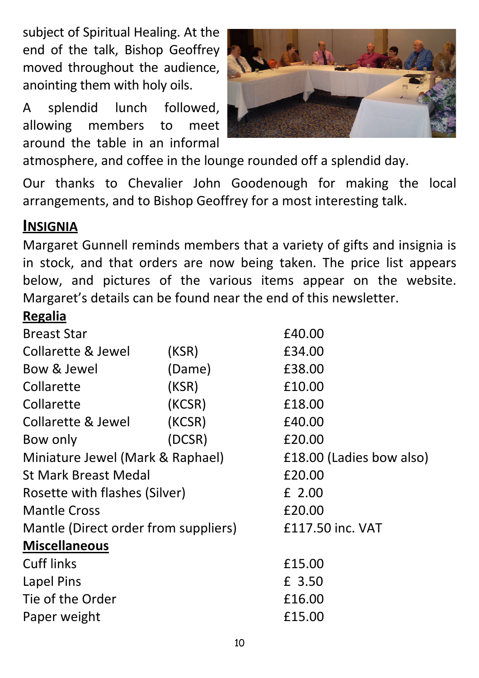subject of Spiritual Healing. At the end of the talk, Bishop Geoffrey moved throughout the audience, anointing them with holy oils.

A splendid lunch followed, allowing members to meet around the table in an informal



atmosphere, and coffee in the lounge rounded off a splendid day.

Our thanks to Chevalier John Goodenough for making the local arrangements, and to Bishop Geoffrey for a most interesting talk.

#### **INSIGNIA**

Margaret Gunnell reminds members that a variety of gifts and insignia is in stock, and that orders are now being taken. The price list appears below, and pictures of the various items appear on the website. Margaret's details can be found near the end of this newsletter.

# **Regalia**

| <b>Breast Star</b>                   |        | £40.00                   |  |
|--------------------------------------|--------|--------------------------|--|
| Collarette & Jewel                   | (KSR)  | £34.00                   |  |
| Bow & Jewel                          | (Dame) | £38.00                   |  |
| Collarette                           | (KSR)  | £10.00                   |  |
| Collarette                           | (KCSR) | £18.00                   |  |
| <b>Collarette &amp; Jewel</b>        | (KCSR) | £40.00                   |  |
| Bow only                             | (DCSR) | £20.00                   |  |
| Miniature Jewel (Mark & Raphael)     |        | £18.00 (Ladies bow also) |  |
| <b>St Mark Breast Medal</b>          |        | £20.00                   |  |
| Rosette with flashes (Silver)        |        | £ 2.00                   |  |
| <b>Mantle Cross</b>                  |        | £20.00                   |  |
| Mantle (Direct order from suppliers) |        | £117.50 inc. VAT         |  |
| <b>Miscellaneous</b>                 |        |                          |  |
| <b>Cuff links</b>                    |        | £15.00                   |  |
| Lapel Pins                           |        | £ 3.50                   |  |
| Tie of the Order                     |        | £16.00                   |  |
| Paper weight                         |        | £15.00                   |  |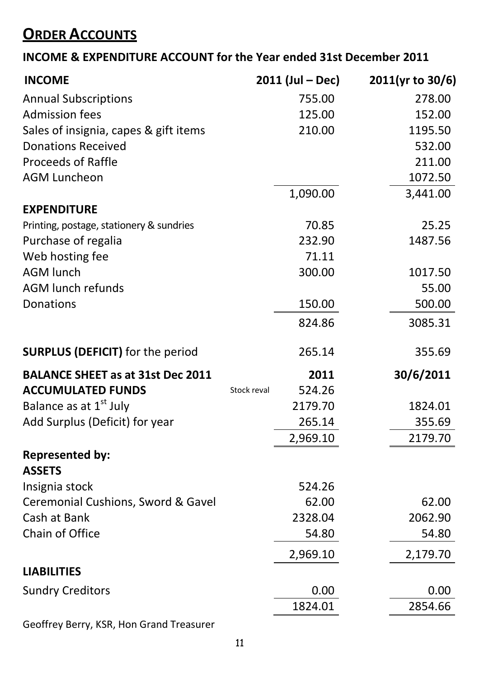# **ORDER ACCOUNTS**

#### INCOME & EXPENDITURE ACCOUNT for the Year ended 31st December 2011

| <b>INCOME</b>                            |             | $2011$ (Jul – Dec) | 2011(yr to 30/6) |
|------------------------------------------|-------------|--------------------|------------------|
| <b>Annual Subscriptions</b>              |             | 755.00             | 278.00           |
| <b>Admission fees</b>                    |             | 125.00             | 152.00           |
| Sales of insignia, capes & gift items    |             | 210.00             | 1195.50          |
| <b>Donations Received</b>                |             |                    | 532.00           |
| <b>Proceeds of Raffle</b>                |             |                    | 211.00           |
| <b>AGM Luncheon</b>                      |             |                    | 1072.50          |
|                                          |             | 1,090.00           | 3,441.00         |
| <b>EXPENDITURE</b>                       |             |                    |                  |
| Printing, postage, stationery & sundries |             | 70.85              | 25.25            |
| Purchase of regalia                      |             | 232.90             | 1487.56          |
| Web hosting fee                          |             | 71.11              |                  |
| <b>AGM lunch</b>                         |             | 300.00             | 1017.50          |
| <b>AGM lunch refunds</b>                 |             |                    | 55.00            |
| Donations                                |             | 150.00             | 500.00           |
|                                          |             | 824.86             | 3085.31          |
| <b>SURPLUS (DEFICIT)</b> for the period  |             | 265.14             | 355.69           |
| <b>BALANCE SHEET as at 31st Dec 2011</b> |             | 2011               | 30/6/2011        |
| <b>ACCUMULATED FUNDS</b>                 | Stock reval | 524.26             |                  |
| Balance as at 1 <sup>st</sup> July       |             | 2179.70            | 1824.01          |
| Add Surplus (Deficit) for year           |             | 265.14             | 355.69           |
|                                          |             | 2,969.10           | 2179.70          |
| <b>Represented by:</b><br><b>ASSETS</b>  |             |                    |                  |
| Insignia stock                           |             | 524.26             |                  |
| Ceremonial Cushions, Sword & Gavel       |             | 62.00              | 62.00            |
| Cash at Bank                             |             | 2328.04            | 2062.90          |
| Chain of Office                          |             | 54.80              | 54.80            |
|                                          |             | 2,969.10           | 2,179.70         |
| <b>LIABILITIES</b>                       |             |                    |                  |
| <b>Sundry Creditors</b>                  |             | 0.00               | 0.00             |
|                                          |             | 1824.01            | 2854.66          |
|                                          |             |                    |                  |

Geoffrey Berry, KSR, Hon Grand Treasurer